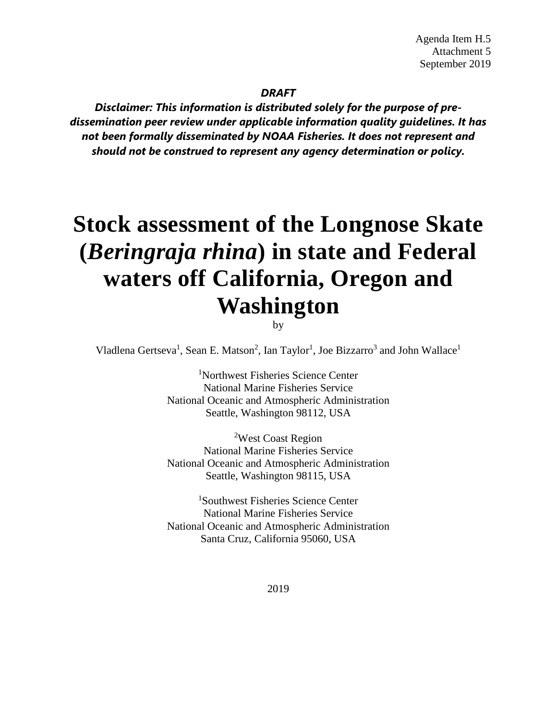#### *DRAFT*

*Disclaimer: This information is distributed solely for the purpose of predissemination peer review under applicable information quality guidelines. It has not been formally disseminated by NOAA Fisheries. It does not represent and should not be construed to represent any agency determination or policy.*

# **Stock assessment of the Longnose Skate (***Beringraja rhina***) in state and Federal waters off California, Oregon and Washington**

by

Vladlena Gertseva<sup>1</sup>, Sean E. Matson<sup>2</sup>, Ian Taylor<sup>1</sup>, Joe Bizzarro<sup>3</sup> and John Wallace<sup>1</sup>

1 Northwest Fisheries Science Center National Marine Fisheries Service National Oceanic and Atmospheric Administration Seattle, Washington 98112, USA

2 West Coast Region National Marine Fisheries Service National Oceanic and Atmospheric Administration Seattle, Washington 98115, USA

1 Southwest Fisheries Science Center National Marine Fisheries Service National Oceanic and Atmospheric Administration Santa Cruz, California 95060, USA

2019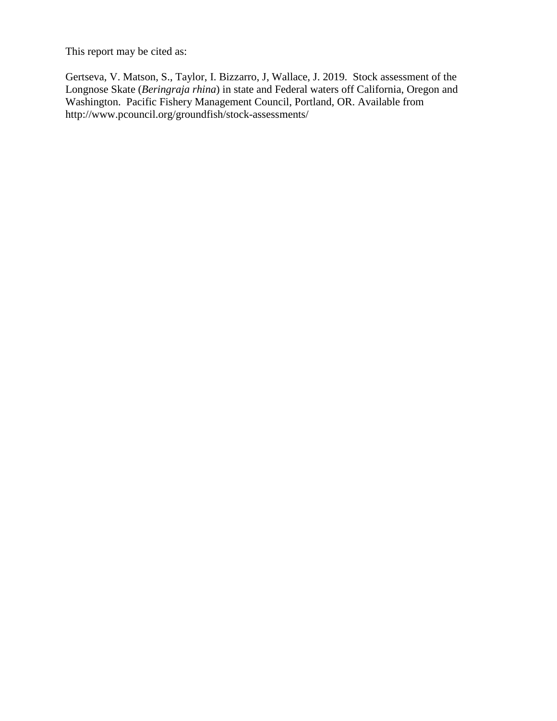This report may be cited as:

Gertseva, V. Matson, S., Taylor, I. Bizzarro, J, Wallace, J. 2019. Stock assessment of the Longnose Skate (*Beringraja rhina*) in state and Federal waters off California, Oregon and Washington. Pacific Fishery Management Council, Portland, OR. Available from http://www.pcouncil.org/groundfish/stock-assessments/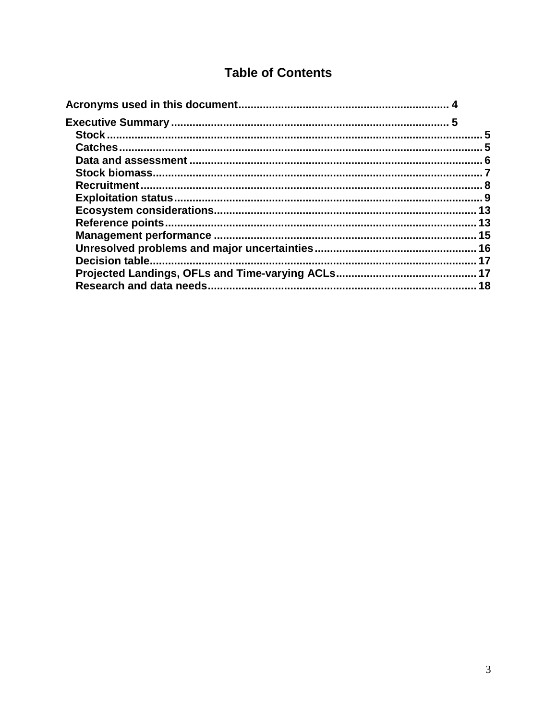# **Table of Contents**

| 5               |
|-----------------|
|                 |
|                 |
|                 |
|                 |
|                 |
|                 |
|                 |
|                 |
|                 |
| $\overline{17}$ |
|                 |
|                 |
|                 |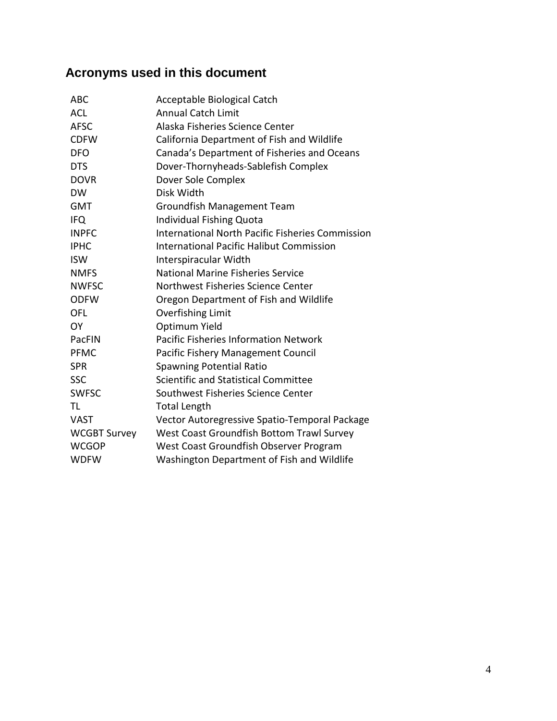# <span id="page-3-0"></span>**Acronyms used in this document**

| Acceptable Biological Catch                             |
|---------------------------------------------------------|
| <b>Annual Catch Limit</b>                               |
| Alaska Fisheries Science Center                         |
| California Department of Fish and Wildlife              |
| Canada's Department of Fisheries and Oceans             |
| Dover-Thornyheads-Sablefish Complex                     |
| Dover Sole Complex                                      |
| Disk Width                                              |
| Groundfish Management Team                              |
| <b>Individual Fishing Quota</b>                         |
| <b>International North Pacific Fisheries Commission</b> |
| <b>International Pacific Halibut Commission</b>         |
| Interspiracular Width                                   |
| National Marine Fisheries Service                       |
| Northwest Fisheries Science Center                      |
| Oregon Department of Fish and Wildlife                  |
| <b>Overfishing Limit</b>                                |
| Optimum Yield                                           |
| <b>Pacific Fisheries Information Network</b>            |
| Pacific Fishery Management Council                      |
| <b>Spawning Potential Ratio</b>                         |
| Scientific and Statistical Committee                    |
| Southwest Fisheries Science Center                      |
| <b>Total Length</b>                                     |
| Vector Autoregressive Spatio-Temporal Package           |
| West Coast Groundfish Bottom Trawl Survey               |
| West Coast Groundfish Observer Program                  |
| Washington Department of Fish and Wildlife              |
|                                                         |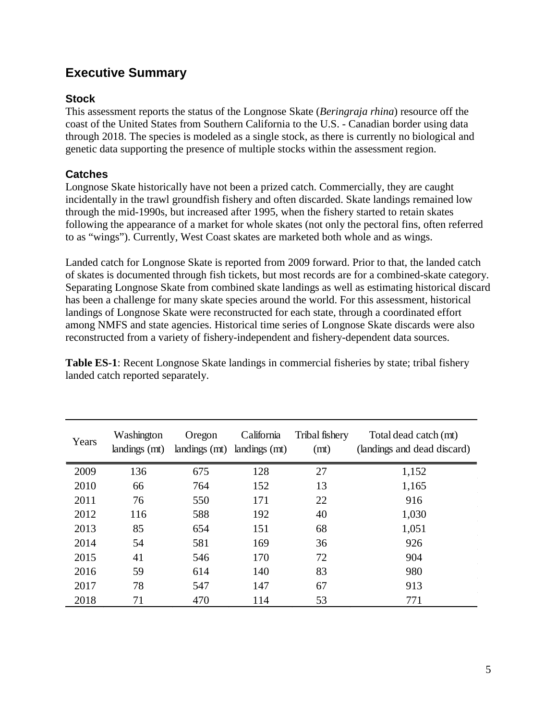# <span id="page-4-0"></span>**Executive Summary**

# <span id="page-4-1"></span>**Stock**

This assessment reports the status of the Longnose Skate (*Beringraja rhina*) resource off the coast of the United States from Southern California to the U.S. - Canadian border using data through 2018. The species is modeled as a single stock, as there is currently no biological and genetic data supporting the presence of multiple stocks within the assessment region.

# <span id="page-4-2"></span>**Catches**

Longnose Skate historically have not been a prized catch. Commercially, they are caught incidentally in the trawl groundfish fishery and often discarded. Skate landings remained low through the mid-1990s, but increased after 1995, when the fishery started to retain skates following the appearance of a market for whole skates (not only the pectoral fins, often referred to as "wings"). Currently, West Coast skates are marketed both whole and as wings.

Landed catch for Longnose Skate is reported from 2009 forward. Prior to that, the landed catch of skates is documented through fish tickets, but most records are for a combined-skate category. Separating Longnose Skate from combined skate landings as well as estimating historical discard has been a challenge for many skate species around the world. For this assessment, historical landings of Longnose Skate were reconstructed for each state, through a coordinated effort among NMFS and state agencies. Historical time series of Longnose Skate discards were also reconstructed from a variety of fishery-independent and fishery-dependent data sources.

| Years | Washington<br>landings (mt) | Oregon | California<br>landings (mt) landings (mt) | Tribal fishery<br>(mt) | Total dead catch (mt)<br>(landings and dead discard) |
|-------|-----------------------------|--------|-------------------------------------------|------------------------|------------------------------------------------------|
| 2009  | 136                         | 675    | 128                                       | 27                     | 1,152                                                |
| 2010  | 66                          | 764    | 152                                       | 13                     | 1,165                                                |
| 2011  | 76                          | 550    | 171                                       | 22                     | 916                                                  |
| 2012  | 116                         | 588    | 192                                       | 40                     | 1,030                                                |
| 2013  | 85                          | 654    | 151                                       | 68                     | 1,051                                                |
| 2014  | 54                          | 581    | 169                                       | 36                     | 926                                                  |
| 2015  | 41                          | 546    | 170                                       | 72                     | 904                                                  |
| 2016  | 59                          | 614    | 140                                       | 83                     | 980                                                  |
| 2017  | 78                          | 547    | 147                                       | 67                     | 913                                                  |
| 2018  | 71                          | 470    | 114                                       | 53                     | 771                                                  |

**Table ES-1**: Recent Longnose Skate landings in commercial fisheries by state; tribal fishery landed catch reported separately.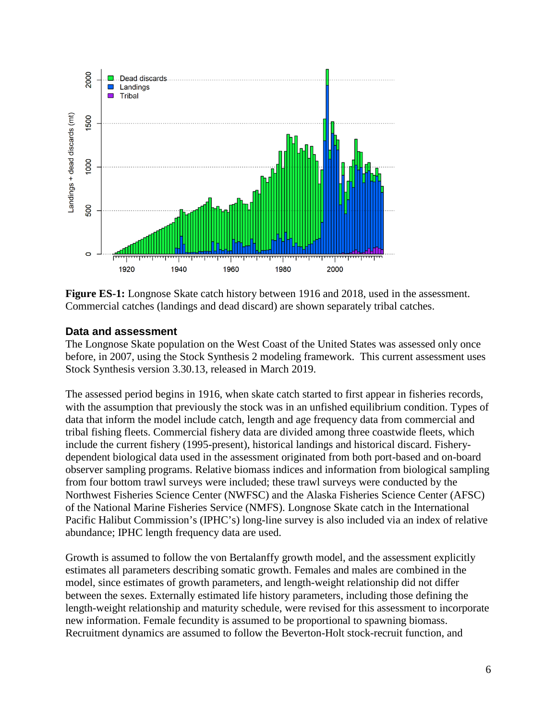

**Figure ES-1:** Longnose Skate catch history between 1916 and 2018, used in the assessment. Commercial catches (landings and dead discard) are shown separately tribal catches.

### <span id="page-5-0"></span>**Data and assessment**

The Longnose Skate population on the West Coast of the United States was assessed only once before, in 2007, using the Stock Synthesis 2 modeling framework. This current assessment uses Stock Synthesis version 3.30.13, released in March 2019.

The assessed period begins in 1916, when skate catch started to first appear in fisheries records, with the assumption that previously the stock was in an unfished equilibrium condition. Types of data that inform the model include catch, length and age frequency data from commercial and tribal fishing fleets. Commercial fishery data are divided among three coastwide fleets, which include the current fishery (1995-present), historical landings and historical discard. Fisherydependent biological data used in the assessment originated from both port-based and on-board observer sampling programs. Relative biomass indices and information from biological sampling from four bottom trawl surveys were included; these trawl surveys were conducted by the Northwest Fisheries Science Center (NWFSC) and the Alaska Fisheries Science Center (AFSC) of the National Marine Fisheries Service (NMFS). Longnose Skate catch in the International Pacific Halibut Commission's (IPHC's) long-line survey is also included via an index of relative abundance; IPHC length frequency data are used.

Growth is assumed to follow the von Bertalanffy growth model, and the assessment explicitly estimates all parameters describing somatic growth. Females and males are combined in the model, since estimates of growth parameters, and length-weight relationship did not differ between the sexes. Externally estimated life history parameters, including those defining the length-weight relationship and maturity schedule, were revised for this assessment to incorporate new information. Female fecundity is assumed to be proportional to spawning biomass. Recruitment dynamics are assumed to follow the Beverton-Holt stock-recruit function, and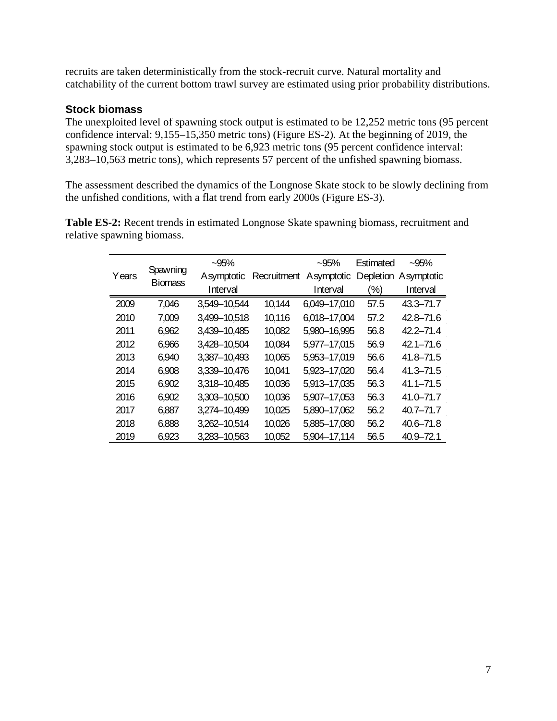recruits are taken deterministically from the stock-recruit curve. Natural mortality and catchability of the current bottom trawl survey are estimated using prior probability distributions.

### <span id="page-6-0"></span>**Stock biomass**

The unexploited level of spawning stock output is estimated to be 12,252 metric tons (95 percent confidence interval: 9,155–15,350 metric tons) (Figure ES-2). At the beginning of 2019, the spawning stock output is estimated to be 6,923 metric tons (95 percent confidence interval: 3,283–10,563 metric tons), which represents 57 percent of the unfished spawning biomass.

The assessment described the dynamics of the Longnose Skate stock to be slowly declining from the unfished conditions, with a flat trend from early 2000s (Figure ES-3).

**Table ES-2:** Recent trends in estimated Longnose Skate spawning biomass, recruitment and relative spawning biomass.

|       | Spawning       | $-95%$       |             | $-95%$       | Estimated | $-95%$        |
|-------|----------------|--------------|-------------|--------------|-----------|---------------|
| Years | <b>Biomass</b> | Asymptotic   | Recruitment | Asymptotic   | Depletion | Asymptotic    |
|       |                | Interval     |             | Interval     | (%)       | Interval      |
| 2009  | 7,046          | 3,549-10,544 | 10,144      | 6,049-17,010 | 57.5      | 43.3-71.7     |
| 2010  | 7,009          | 3,499-10,518 | 10,116      | 6,018-17,004 | 57.2      | 42.8-71.6     |
| 2011  | 6,962          | 3,439-10,485 | 10,082      | 5,980-16,995 | 56.8      | $42.2 - 71.4$ |
| 2012  | 6,966          | 3,428-10,504 | 10,084      | 5,977-17,015 | 56.9      | $42.1 - 71.6$ |
| 2013  | 6,940          | 3,387-10,493 | 10,065      | 5,953-17,019 | 56.6      | $41.8 - 71.5$ |
| 2014  | 6,908          | 3,339-10,476 | 10,041      | 5,923-17,020 | 56.4      | $41.3 - 71.5$ |
| 2015  | 6,902          | 3,318-10,485 | 10,036      | 5,913-17,035 | 56.3      | $41.1 - 71.5$ |
| 2016  | 6,902          | 3,303-10,500 | 10,036      | 5,907-17,053 | 56.3      | 41.0-71.7     |
| 2017  | 6,887          | 3,274-10,499 | 10,025      | 5,890-17,062 | 56.2      | $40.7 - 71.7$ |
| 2018  | 6,888          | 3,262-10,514 | 10,026      | 5,885-17,080 | 56.2      | 40.6-71.8     |
| 2019  | 6,923          | 3,283-10,563 | 10,052      | 5.904-17,114 | 56.5      | 40.9-72.1     |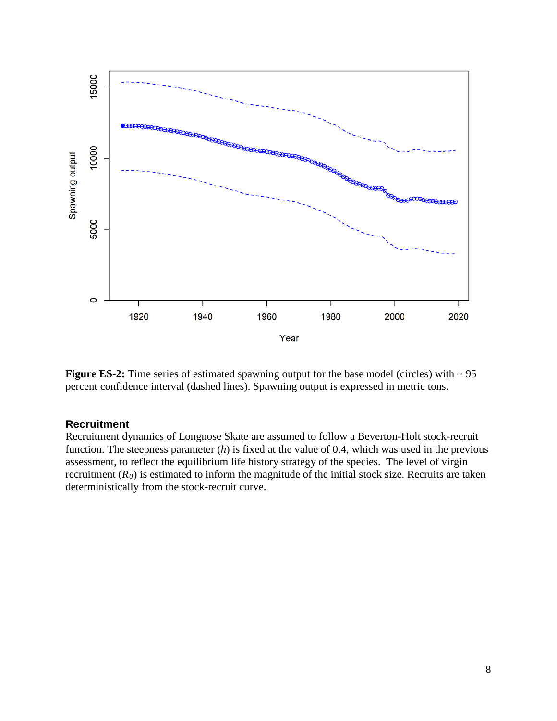

**Figure ES-2:** Time series of estimated spawning output for the base model (circles) with  $\sim$  95 percent confidence interval (dashed lines). Spawning output is expressed in metric tons.

#### <span id="page-7-0"></span>**Recruitment**

Recruitment dynamics of Longnose Skate are assumed to follow a Beverton-Holt stock-recruit function. The steepness parameter (*h*) is fixed at the value of 0.4, which was used in the previous assessment, to reflect the equilibrium life history strategy of the species. The level of virgin recruitment  $(R_0)$  is estimated to inform the magnitude of the initial stock size. Recruits are taken deterministically from the stock-recruit curve.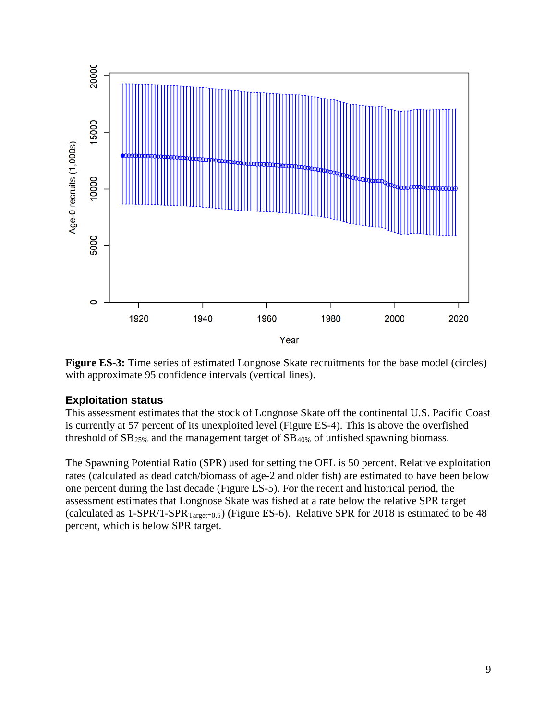

**Figure ES-3:** Time series of estimated Longnose Skate recruitments for the base model (circles) with approximate 95 confidence intervals (vertical lines).

# <span id="page-8-0"></span>**Exploitation status**

This assessment estimates that the stock of Longnose Skate off the continental U.S. Pacific Coast is currently at 57 percent of its unexploited level (Figure ES-4). This is above the overfished threshold of  $SB_{25\%}$  and the management target of  $SB_{40\%}$  of unfished spawning biomass.

The Spawning Potential Ratio (SPR) used for setting the OFL is 50 percent. Relative exploitation rates (calculated as dead catch/biomass of age-2 and older fish) are estimated to have been below one percent during the last decade (Figure ES-5). For the recent and historical period, the assessment estimates that Longnose Skate was fished at a rate below the relative SPR target (calculated as  $1$ -SPR/1-SPR<sub>Target=0.5</sub>) (Figure ES-6). Relative SPR for 2018 is estimated to be 48 percent, which is below SPR target.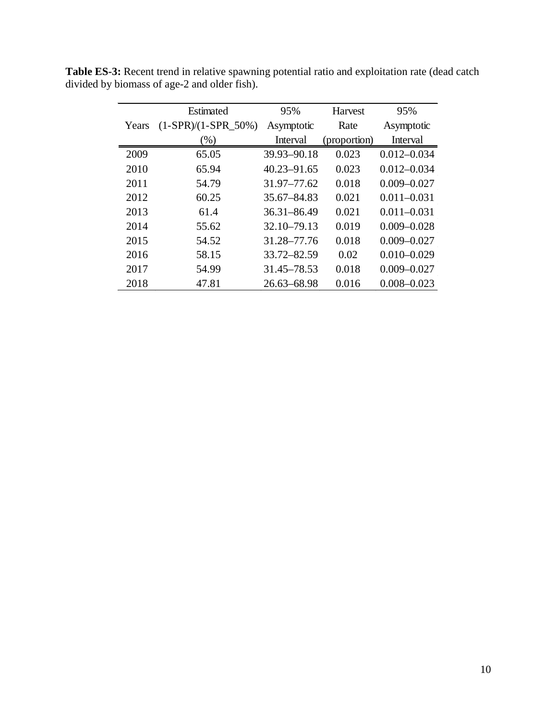|       | Estimated             | 95%             | <b>Harvest</b> | 95%             |
|-------|-----------------------|-----------------|----------------|-----------------|
| Years | $(1-SPR)/(1-SPR_50%)$ | Asymptotic      | Rate           | Asymptotic      |
|       | $(\%)$                | Interval        | (proportion)   | Interval        |
| 2009  | 65.05                 | 39.93-90.18     | 0.023          | $0.012 - 0.034$ |
| 2010  | 65.94                 | $40.23 - 91.65$ | 0.023          | $0.012 - 0.034$ |
| 2011  | 54.79                 | 31.97-77.62     | 0.018          | $0.009 - 0.027$ |
| 2012  | 60.25                 | 35.67–84.83     | 0.021          | $0.011 - 0.031$ |
| 2013  | 61.4                  | $36.31 - 86.49$ | 0.021          | $0.011 - 0.031$ |
| 2014  | 55.62                 | 32.10-79.13     | 0.019          | $0.009 - 0.028$ |
| 2015  | 54.52                 | 31.28–77.76     | 0.018          | $0.009 - 0.027$ |
| 2016  | 58.15                 | 33.72-82.59     | 0.02           | $0.010 - 0.029$ |
| 2017  | 54.99                 | 31.45–78.53     | 0.018          | $0.009 - 0.027$ |
| 2018  | 47.81                 | $26.63 - 68.98$ | 0.016          | $0.008 - 0.023$ |

**Table ES-3:** Recent trend in relative spawning potential ratio and exploitation rate (dead catch divided by biomass of age-2 and older fish).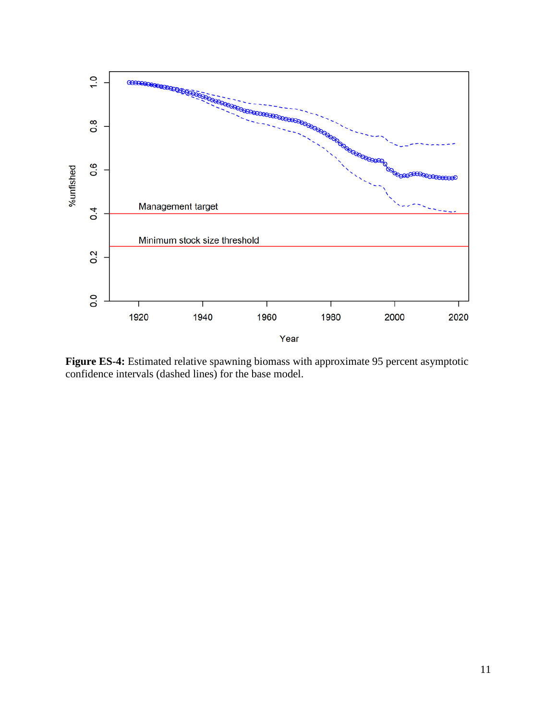

**Figure ES-4:** Estimated relative spawning biomass with approximate 95 percent asymptotic confidence intervals (dashed lines) for the base model.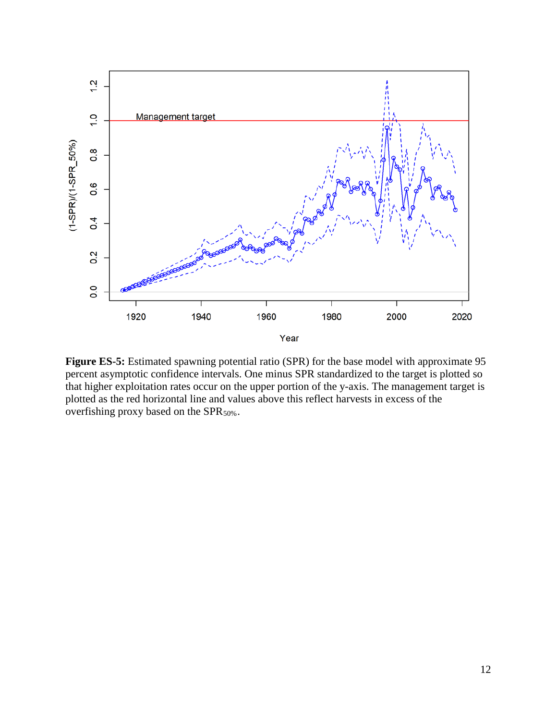

**Figure ES-5:** Estimated spawning potential ratio (SPR) for the base model with approximate 95 percent asymptotic confidence intervals. One minus SPR standardized to the target is plotted so that higher exploitation rates occur on the upper portion of the y-axis. The management target is plotted as the red horizontal line and values above this reflect harvests in excess of the overfishing proxy based on the SPR $_{50\%}$ .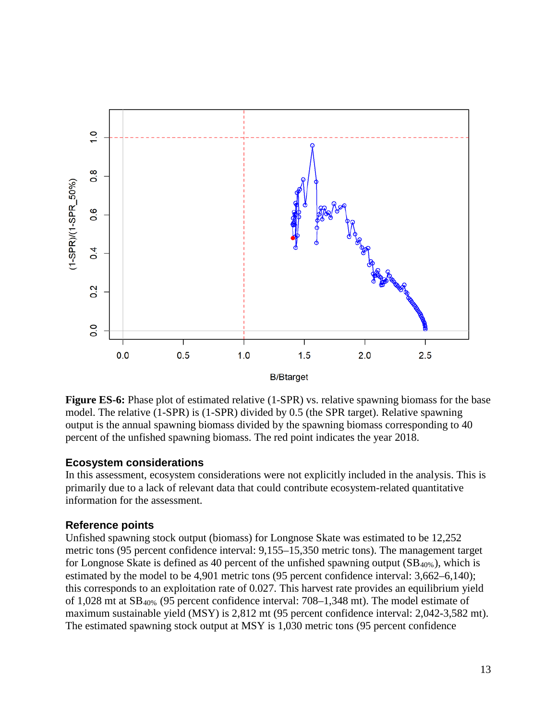

**Figure ES-6:** Phase plot of estimated relative (1-SPR) vs. relative spawning biomass for the base model. The relative (1-SPR) is (1-SPR) divided by 0.5 (the SPR target). Relative spawning output is the annual spawning biomass divided by the spawning biomass corresponding to 40 percent of the unfished spawning biomass. The red point indicates the year 2018.

# <span id="page-12-0"></span>**Ecosystem considerations**

In this assessment, ecosystem considerations were not explicitly included in the analysis. This is primarily due to a lack of relevant data that could contribute ecosystem-related quantitative information for the assessment.

# <span id="page-12-1"></span>**Reference points**

Unfished spawning stock output (biomass) for Longnose Skate was estimated to be 12,252 metric tons (95 percent confidence interval: 9,155–15,350 metric tons). The management target for Longnose Skate is defined as 40 percent of the unfished spawning output  $(SB_{40\%})$ , which is estimated by the model to be 4,901 metric tons (95 percent confidence interval: 3,662–6,140); this corresponds to an exploitation rate of 0.027. This harvest rate provides an equilibrium yield of 1,028 mt at SB40% (95 percent confidence interval: 708–1,348 mt). The model estimate of maximum sustainable yield (MSY) is 2,812 mt (95 percent confidence interval: 2,042-3,582 mt). The estimated spawning stock output at MSY is 1,030 metric tons (95 percent confidence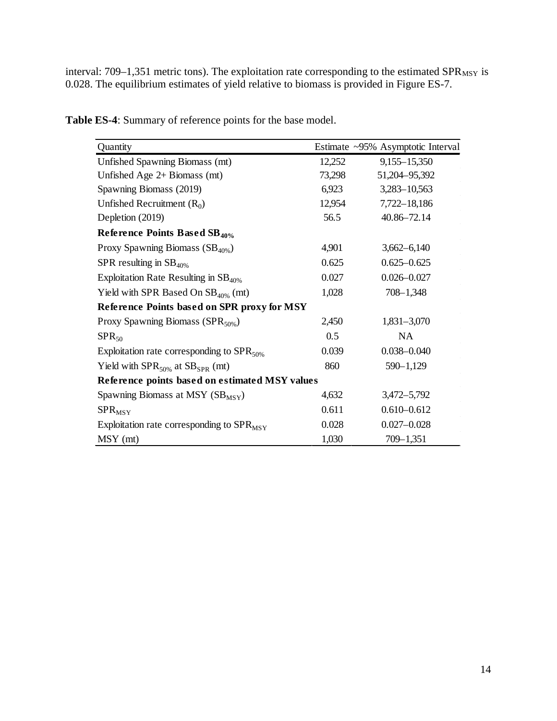interval:  $709-1,351$  metric tons). The exploitation rate corresponding to the estimated SPR<sub>MSY</sub> is 0.028. The equilibrium estimates of yield relative to biomass is provided in Figure ES-7.

| Quantity                                           |        | Estimate ~95% Asymptotic Interval |
|----------------------------------------------------|--------|-----------------------------------|
| Unfished Spawning Biomass (mt)                     | 12,252 | 9,155-15,350                      |
| Unfished Age 2+ Biomass (mt)                       | 73,298 | 51,204-95,392                     |
| Spawning Biomass (2019)                            | 6,923  | 3,283-10,563                      |
| Unfished Recruitment $(R_0)$                       | 12,954 | 7,722-18,186                      |
| Depletion (2019)                                   | 56.5   | 40.86-72.14                       |
| Reference Points Based SB <sub>40%</sub>           |        |                                   |
| Proxy Spawning Biomass $(SB_{40\%})$               | 4,901  | $3,662 - 6,140$                   |
| SPR resulting in $SB$ <sub>40%</sub>               | 0.625  | $0.625 - 0.625$                   |
| Exploitation Rate Resulting in $SB_{40\%}$         | 0.027  | $0.026 - 0.027$                   |
| Yield with SPR Based On $SB_{40\%}$ (mt)           | 1,028  | $708 - 1,348$                     |
| <b>Reference Points based on SPR proxy for MSY</b> |        |                                   |
| Proxy Spawning Biomass ( $SPR_{50\%}$ )            | 2,450  | $1,831 - 3,070$                   |
| $SPR_{50}$                                         | 0.5    | <b>NA</b>                         |
| Exploitation rate corresponding to $SPR_{50\%}$    | 0.039  | $0.038 - 0.040$                   |
| Yield with $SPR_{50\%}$ at $SB_{SPR}$ (mt)         | 860    | $590 - 1,129$                     |
| Reference points based on estimated MSY values     |        |                                   |
| Spawning Biomass at MSY $(SB_{MSY})$               | 4,632  | 3,472-5,792                       |
| $SPR_{MSY}$                                        | 0.611  | $0.610 - 0.612$                   |
| Exploitation rate corresponding to $SPR_{MSY}$     | 0.028  | $0.027 - 0.028$                   |
| MSY (mt)                                           | 1,030  | $709 - 1,351$                     |

**Table ES-4**: Summary of reference points for the base model.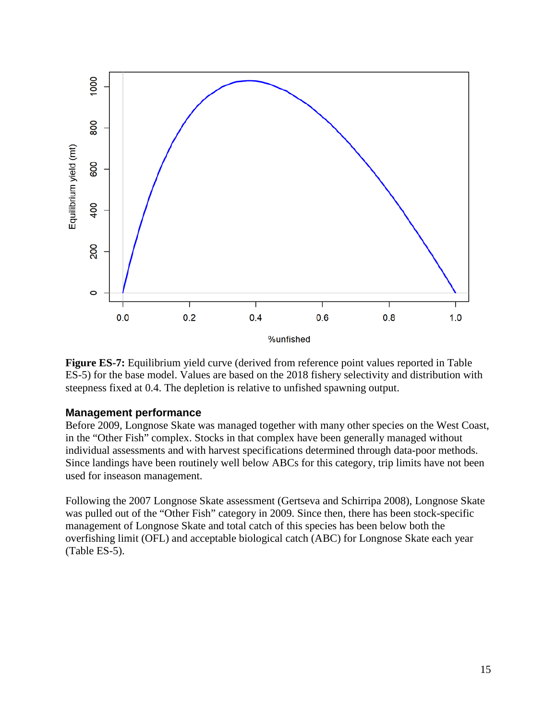

**Figure ES-7:** Equilibrium yield curve (derived from reference point values reported in Table ES-5) for the base model. Values are based on the 2018 fishery selectivity and distribution with steepness fixed at 0.4. The depletion is relative to unfished spawning output.

#### <span id="page-14-0"></span>**Management performance**

Before 2009, Longnose Skate was managed together with many other species on the West Coast, in the "Other Fish" complex. Stocks in that complex have been generally managed without individual assessments and with harvest specifications determined through data-poor methods. Since landings have been routinely well below ABCs for this category, trip limits have not been used for inseason management.

Following the 2007 Longnose Skate assessment (Gertseva and Schirripa 2008), Longnose Skate was pulled out of the "Other Fish" category in 2009. Since then, there has been stock-specific management of Longnose Skate and total catch of this species has been below both the overfishing limit (OFL) and acceptable biological catch (ABC) for Longnose Skate each year (Table ES-5).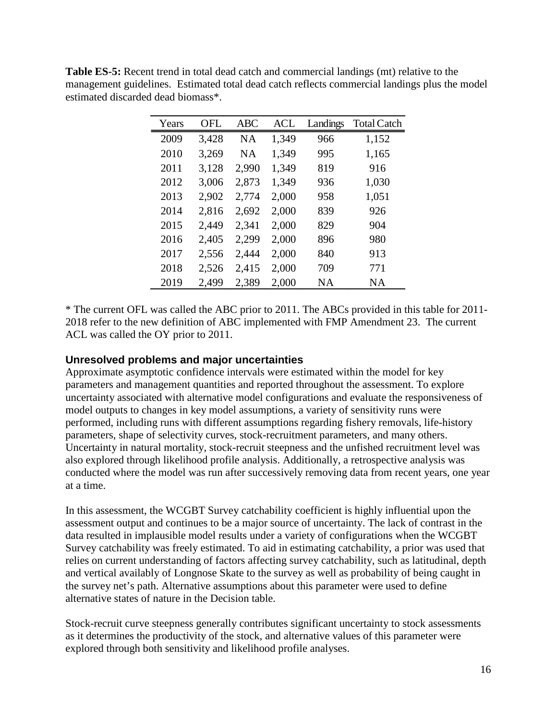|                                    | <b>Table ES-5:</b> Recent trend in total dead catch and commercial landings (mt) relative to the |
|------------------------------------|--------------------------------------------------------------------------------------------------|
|                                    | management guidelines. Estimated total dead catch reflects commercial landings plus the model    |
| estimated discarded dead biomass*. |                                                                                                  |

| Years | OFL   | <b>ABC</b> | ACL   | Landings  | <b>Total Catch</b> |
|-------|-------|------------|-------|-----------|--------------------|
| 2009  | 3,428 | NA         | 1,349 | 966       | 1,152              |
| 2010  | 3,269 | <b>NA</b>  | 1,349 | 995       | 1,165              |
| 2011  | 3,128 | 2,990      | 1,349 | 819       | 916                |
| 2012  | 3,006 | 2,873      | 1,349 | 936       | 1,030              |
| 2013  | 2,902 | 2,774      | 2,000 | 958       | 1,051              |
| 2014  | 2,816 | 2,692      | 2,000 | 839       | 926                |
| 2015  | 2,449 | 2,341      | 2,000 | 829       | 904                |
| 2016  | 2,405 | 2,299      | 2,000 | 896       | 980                |
| 2017  | 2,556 | 2,444      | 2,000 | 840       | 913                |
| 2018  | 2,526 | 2,415      | 2,000 | 709       | 771                |
| 2019  | 2,499 | 2,389      | 2,000 | <b>NA</b> | ΝA                 |

\* The current OFL was called the ABC prior to 2011. The ABCs provided in this table for 2011- 2018 refer to the new definition of ABC implemented with FMP Amendment 23. The current ACL was called the OY prior to 2011.

### <span id="page-15-0"></span>**Unresolved problems and major uncertainties**

Approximate asymptotic confidence intervals were estimated within the model for key parameters and management quantities and reported throughout the assessment. To explore uncertainty associated with alternative model configurations and evaluate the responsiveness of model outputs to changes in key model assumptions, a variety of sensitivity runs were performed, including runs with different assumptions regarding fishery removals, life-history parameters, shape of selectivity curves, stock-recruitment parameters, and many others. Uncertainty in natural mortality, stock-recruit steepness and the unfished recruitment level was also explored through likelihood profile analysis. Additionally, a retrospective analysis was conducted where the model was run after successively removing data from recent years, one year at a time.

In this assessment, the WCGBT Survey catchability coefficient is highly influential upon the assessment output and continues to be a major source of uncertainty. The lack of contrast in the data resulted in implausible model results under a variety of configurations when the WCGBT Survey catchability was freely estimated. To aid in estimating catchability, a prior was used that relies on current understanding of factors affecting survey catchability, such as latitudinal, depth and vertical availably of Longnose Skate to the survey as well as probability of being caught in the survey net's path. Alternative assumptions about this parameter were used to define alternative states of nature in the Decision table.

Stock-recruit curve steepness generally contributes significant uncertainty to stock assessments as it determines the productivity of the stock, and alternative values of this parameter were explored through both sensitivity and likelihood profile analyses.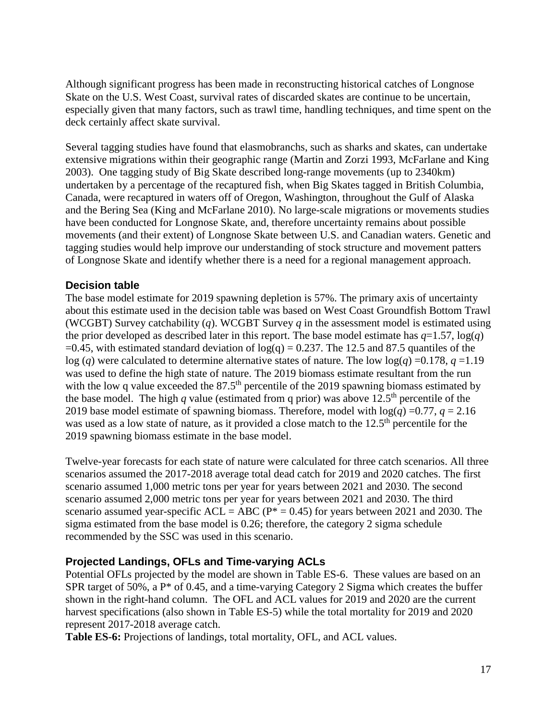Although significant progress has been made in reconstructing historical catches of Longnose Skate on the U.S. West Coast, survival rates of discarded skates are continue to be uncertain, especially given that many factors, such as trawl time, handling techniques, and time spent on the deck certainly affect skate survival.

Several tagging studies have found that elasmobranchs, such as sharks and skates, can undertake extensive migrations within their geographic range (Martin and Zorzi 1993, McFarlane and King 2003). One tagging study of Big Skate described long-range movements (up to 2340km) undertaken by a percentage of the recaptured fish, when Big Skates tagged in British Columbia, Canada, were recaptured in waters off of Oregon, Washington, throughout the Gulf of Alaska and the Bering Sea (King and McFarlane 2010). No large-scale migrations or movements studies have been conducted for Longnose Skate, and, therefore uncertainty remains about possible movements (and their extent) of Longnose Skate between U.S. and Canadian waters. Genetic and tagging studies would help improve our understanding of stock structure and movement patters of Longnose Skate and identify whether there is a need for a regional management approach.

# <span id="page-16-0"></span>**Decision table**

The base model estimate for 2019 spawning depletion is 57%. The primary axis of uncertainty about this estimate used in the decision table was based on West Coast Groundfish Bottom Trawl (WCGBT) Survey catchability (*q*). WCGBT Survey *q* in the assessment model is estimated using the prior developed as described later in this report. The base model estimate has  $q=1.57$ ,  $log(q)$  $=0.45$ , with estimated standard deviation of  $log(q) = 0.237$ . The 12.5 and 87.5 quantiles of the log (*q*) were calculated to determine alternative states of nature. The low  $log(q) = 0.178$ ,  $q = 1.19$ was used to define the high state of nature. The 2019 biomass estimate resultant from the run with the low q value exceeded the  $87.5<sup>th</sup>$  percentile of the 2019 spawning biomass estimated by the base model. The high *q* value (estimated from q prior) was above 12.5<sup>th</sup> percentile of the 2019 base model estimate of spawning biomass. Therefore, model with  $log(q) = 0.77$ ,  $q = 2.16$ was used as a low state of nature, as it provided a close match to the 12.5<sup>th</sup> percentile for the 2019 spawning biomass estimate in the base model.

Twelve-year forecasts for each state of nature were calculated for three catch scenarios. All three scenarios assumed the 2017-2018 average total dead catch for 2019 and 2020 catches. The first scenario assumed 1,000 metric tons per year for years between 2021 and 2030. The second scenario assumed 2,000 metric tons per year for years between 2021 and 2030. The third scenario assumed year-specific  $ACL = ABC (P^* = 0.45)$  for years between 2021 and 2030. The sigma estimated from the base model is 0.26; therefore, the category 2 sigma schedule recommended by the SSC was used in this scenario.

# <span id="page-16-1"></span>**Projected Landings, OFLs and Time-varying ACLs**

Potential OFLs projected by the model are shown in Table ES-6. These values are based on an SPR target of 50%, a  $P^*$  of 0.45, and a time-varying Category 2 Sigma which creates the buffer shown in the right-hand column. The OFL and ACL values for 2019 and 2020 are the current harvest specifications (also shown in Table ES-5) while the total mortality for 2019 and 2020 represent 2017-2018 average catch.

**Table ES-6:** Projections of landings, total mortality, OFL, and ACL values.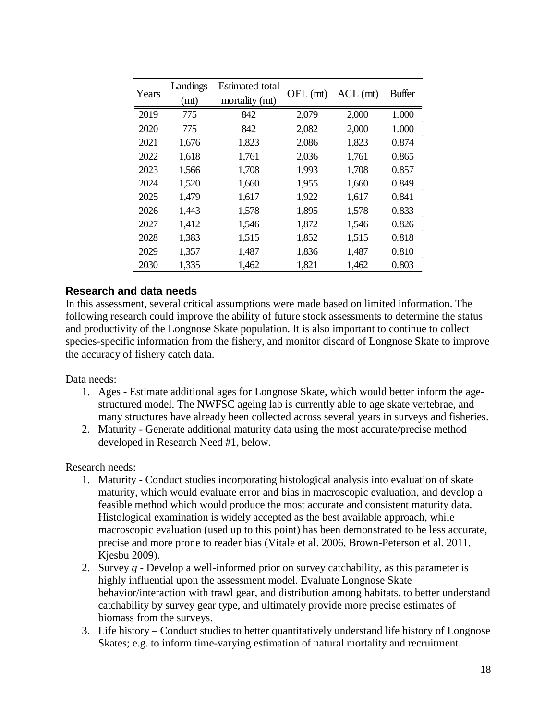| Years | Landings<br>(m t) | Estimated total<br>mortality (mt) | $OFL$ (mt) | $ACL$ (mt) | <b>Buffer</b> |
|-------|-------------------|-----------------------------------|------------|------------|---------------|
| 2019  | 775               | 842                               | 2,079      | 2,000      | 1.000         |
| 2020  | 775               | 842                               | 2,082      | 2,000      | 1.000         |
| 2021  | 1,676             | 1,823                             | 2,086      | 1,823      | 0.874         |
| 2022  | 1,618             | 1,761                             | 2,036      | 1,761      | 0.865         |
| 2023  | 1,566             | 1,708                             | 1,993      | 1,708      | 0.857         |
| 2024  | 1,520             | 1,660                             | 1,955      | 1,660      | 0.849         |
| 2025  | 1,479             | 1,617                             | 1,922      | 1,617      | 0.841         |
| 2026  | 1,443             | 1,578                             | 1,895      | 1,578      | 0.833         |
| 2027  | 1,412             | 1,546                             | 1,872      | 1,546      | 0.826         |
| 2028  | 1,383             | 1,515                             | 1,852      | 1,515      | 0.818         |
| 2029  | 1,357             | 1,487                             | 1,836      | 1,487      | 0.810         |
| 2030  | 1,335             | 1,462                             | 1,821      | 1,462      | 0.803         |

# <span id="page-17-0"></span>**Research and data needs**

In this assessment, several critical assumptions were made based on limited information. The following research could improve the ability of future stock assessments to determine the status and productivity of the Longnose Skate population. It is also important to continue to collect species-specific information from the fishery, and monitor discard of Longnose Skate to improve the accuracy of fishery catch data.

Data needs:

- 1. Ages Estimate additional ages for Longnose Skate, which would better inform the agestructured model. The NWFSC ageing lab is currently able to age skate vertebrae, and many structures have already been collected across several years in surveys and fisheries.
- 2. Maturity Generate additional maturity data using the most accurate/precise method developed in Research Need #1, below.

Research needs:

- 1. Maturity Conduct studies incorporating histological analysis into evaluation of skate maturity, which would evaluate error and bias in macroscopic evaluation, and develop a feasible method which would produce the most accurate and consistent maturity data. Histological examination is widely accepted as the best available approach, while macroscopic evaluation (used up to this point) has been demonstrated to be less accurate, precise and more prone to reader bias (Vitale et al. 2006, Brown-Peterson et al. 2011, Kjesbu 2009).
- 2. Survey *q* Develop a well-informed prior on survey catchability, as this parameter is highly influential upon the assessment model. Evaluate Longnose Skate behavior/interaction with trawl gear, and distribution among habitats, to better understand catchability by survey gear type, and ultimately provide more precise estimates of biomass from the surveys.
- 3. Life history Conduct studies to better quantitatively understand life history of Longnose Skates; e.g. to inform time-varying estimation of natural mortality and recruitment.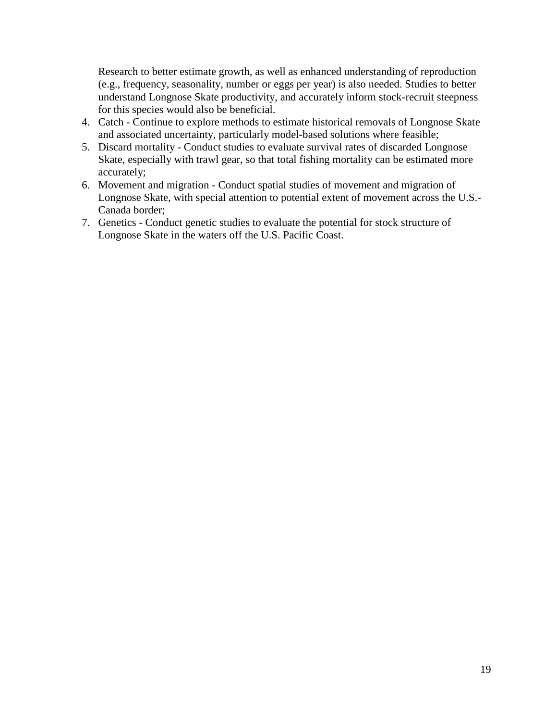Research to better estimate growth, as well as enhanced understanding of reproduction (e.g., frequency, seasonality, number or eggs per year) is also needed. Studies to better understand Longnose Skate productivity, and accurately inform stock-recruit steepness for this species would also be beneficial.

- 4. Catch Continue to explore methods to estimate historical removals of Longnose Skate and associated uncertainty, particularly model-based solutions where feasible;
- 5. Discard mortality Conduct studies to evaluate survival rates of discarded Longnose Skate, especially with trawl gear, so that total fishing mortality can be estimated more accurately;
- 6. Movement and migration Conduct spatial studies of movement and migration of Longnose Skate, with special attention to potential extent of movement across the U.S.- Canada border;
- 7. Genetics Conduct genetic studies to evaluate the potential for stock structure of Longnose Skate in the waters off the U.S. Pacific Coast.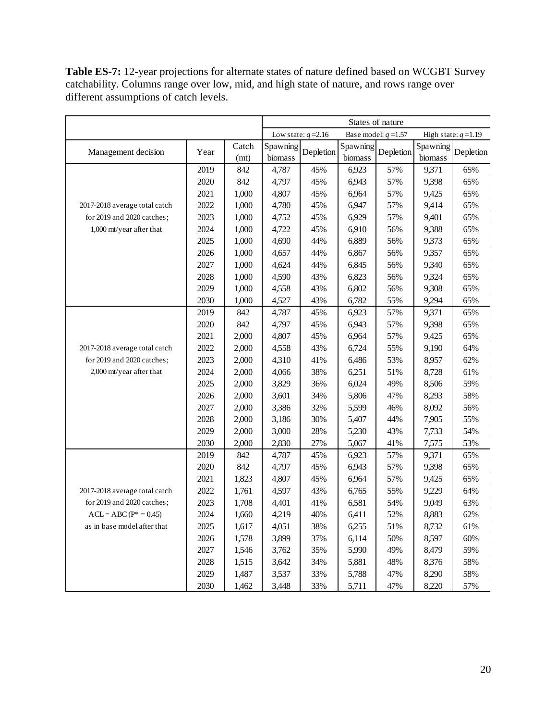**Table ES-7:** 12-year projections for alternate states of nature defined based on WCGBT Survey catchability. Columns range over low, mid, and high state of nature, and rows range over different assumptions of catch levels.

|                               |      |       | States of nature |                       |          |                        |          |                        |
|-------------------------------|------|-------|------------------|-----------------------|----------|------------------------|----------|------------------------|
|                               |      |       |                  | Low state: $q = 2.16$ |          | Base model: $q = 1.57$ |          | High state: $q = 1.19$ |
| Management decision           | Year | Catch | Spawning         | Depletion             | Spawning | Depletion              | Spawning | Depletion              |
|                               |      | (mt)  | biomass          |                       | biomass  |                        | biomass  |                        |
|                               | 2019 | 842   | 4,787            | 45%                   | 6,923    | 57%                    | 9,371    | 65%                    |
|                               | 2020 | 842   | 4,797            | 45%                   | 6,943    | 57%                    | 9,398    | 65%                    |
|                               | 2021 | 1,000 | 4,807            | 45%                   | 6,964    | 57%                    | 9,425    | 65%                    |
| 2017-2018 average total catch | 2022 | 1,000 | 4,780            | 45%                   | 6,947    | 57%                    | 9,414    | 65%                    |
| for 2019 and 2020 catches;    | 2023 | 1,000 | 4,752            | 45%                   | 6,929    | 57%                    | 9,401    | 65%                    |
| 1,000 mt/year after that      | 2024 | 1,000 | 4,722            | 45%                   | 6,910    | 56%                    | 9,388    | 65%                    |
|                               | 2025 | 1,000 | 4,690            | 44%                   | 6,889    | 56%                    | 9,373    | 65%                    |
|                               | 2026 | 1,000 | 4,657            | 44%                   | 6,867    | 56%                    | 9,357    | 65%                    |
|                               | 2027 | 1,000 | 4,624            | 44%                   | 6,845    | 56%                    | 9,340    | 65%                    |
|                               | 2028 | 1,000 | 4,590            | 43%                   | 6,823    | 56%                    | 9,324    | 65%                    |
|                               | 2029 | 1,000 | 4,558            | 43%                   | 6,802    | 56%                    | 9,308    | 65%                    |
|                               | 2030 | 1,000 | 4,527            | 43%                   | 6,782    | 55%                    | 9,294    | 65%                    |
|                               | 2019 | 842   | 4,787            | 45%                   | 6,923    | 57%                    | 9,371    | 65%                    |
|                               | 2020 | 842   | 4,797            | 45%                   | 6,943    | 57%                    | 9,398    | 65%                    |
|                               | 2021 | 2,000 | 4,807            | 45%                   | 6,964    | 57%                    | 9,425    | 65%                    |
| 2017-2018 average total catch | 2022 | 2,000 | 4,558            | 43%                   | 6,724    | 55%                    | 9,190    | 64%                    |
| for 2019 and 2020 catches;    | 2023 | 2,000 | 4,310            | 41%                   | 6,486    | 53%                    | 8,957    | 62%                    |
| 2,000 mt/year after that      | 2024 | 2,000 | 4,066            | 38%                   | 6,251    | 51%                    | 8,728    | 61%                    |
|                               | 2025 | 2,000 | 3,829            | 36%                   | 6,024    | 49%                    | 8,506    | 59%                    |
|                               | 2026 | 2,000 | 3,601            | 34%                   | 5,806    | 47%                    | 8,293    | 58%                    |
|                               | 2027 | 2,000 | 3,386            | 32%                   | 5,599    | 46%                    | 8,092    | 56%                    |
|                               | 2028 | 2,000 | 3,186            | 30%                   | 5,407    | 44%                    | 7,905    | 55%                    |
|                               | 2029 | 2,000 | 3,000            | 28%                   | 5,230    | 43%                    | 7,733    | 54%                    |
|                               | 2030 | 2,000 | 2,830            | 27%                   | 5,067    | 41%                    | 7,575    | 53%                    |
|                               | 2019 | 842   | 4,787            | 45%                   | 6,923    | 57%                    | 9,371    | 65%                    |
|                               | 2020 | 842   | 4,797            | 45%                   | 6,943    | 57%                    | 9,398    | 65%                    |
|                               | 2021 | 1,823 | 4,807            | 45%                   | 6,964    | 57%                    | 9,425    | 65%                    |
| 2017-2018 average total catch | 2022 | 1,761 | 4,597            | 43%                   | 6,765    | 55%                    | 9,229    | 64%                    |
| for 2019 and 2020 catches;    | 2023 | 1,708 | 4,401            | 41%                   | 6,581    | 54%                    | 9,049    | 63%                    |
| $ACL = ABC (P^* = 0.45)$      | 2024 | 1,660 | 4,219            | 40%                   | 6,411    | 52%                    | 8,883    | 62%                    |
| as in base model after that   | 2025 | 1,617 | 4,051            | 38%                   | 6,255    | 51%                    | 8,732    | 61%                    |
|                               | 2026 | 1,578 | 3,899            | 37%                   | 6,114    | 50%                    | 8,597    | 60%                    |
|                               | 2027 | 1,546 | 3,762            | 35%                   | 5,990    | 49%                    | 8,479    | 59%                    |
|                               | 2028 | 1,515 | 3,642            | 34%                   | 5,881    | 48%                    | 8,376    | 58%                    |
|                               | 2029 | 1,487 | 3,537            | 33%                   | 5,788    | 47%                    | 8,290    | 58%                    |
|                               | 2030 | 1,462 | 3,448            | 33%                   | 5,711    | 47%                    | 8,220    | 57%                    |